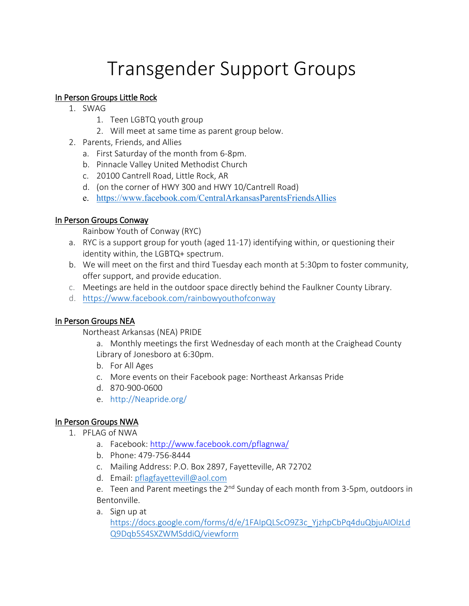# Transgender Support Groups

## In Person Groups Little Rock

- 1. SWAG
	- 1. Teen LGBTQ youth group
	- 2. Will meet at same time as parent group below.
- 2. Parents, Friends, and Allies
	- a. First Saturday of the month from 6-8pm.
	- b. Pinnacle Valley United Methodist Church
	- c. 20100 Cantrell Road, Little Rock, AR
	- d. (on the corner of HWY 300 and HWY 10/Cantrell Road)
	- e. <https://www.facebook.com/CentralArkansasParentsFriendsAllies>

## In Person Groups Conway

[Rainbow](https://www.facebook.com/rainbowyouthofconway/?__cft__%5b0%5d=AZWVQ0HTrVmkhVd8Q8ysO9z9fd_DdmP8vbkqZayws1jZLmWj3YRfHpIFo4nY4lFABEwwSEhH-MBD6omJcHVtQ9KwIxjUQZKDhe4chu4cY9RJopOujZNhhysWEu7dqDg_MwA&__tn__=-UC%2CP-R) Youth of Conway (RYC)

- a. RYC is a support group for youth (aged 11-17) identifying within, or questioning their identity within, the LGBTQ+ spectrum.
- b. We will meet on the first and third Tuesday each month at 5:30pm to foster community, offer support, and provide education.
- c. Meetings are held in the outdoor space directly behind the Faulkner County Library.
- d. <https://www.facebook.com/rainbowyouthofconway>

## In Person Groups NEA

Northeast Arkansas (NEA) PRIDE

- a. Monthly meetings the first Wednesday of each month at the Craighead County Library of Jonesboro at 6:30pm.
- b. For All Ages
- c. More events on their Facebook page: Northeast Arkansas Pride
- d. 870-900-0600
- e. [http://Neapride.org/](http://neapride.org/)

### In Person Groups NWA

- 1. PFLAG of NWA
	- a. Facebook:<http://www.facebook.com/pflagnwa/>
	- b. Phone: 479-756-8444
	- c. Mailing Address: P.O. Box 2897, Fayetteville, AR 72702
	- d. Email: [pflagfayettevill@aol.com](mailto:pflagfayettevill@aol.com)
	- e. Teen and Parent meetings the 2<sup>nd</sup> Sunday of each month from 3-5pm, outdoors in Bentonville.
	- a. Sign up at

[https://docs.google.com/forms/d/e/1FAIpQLScO9Z3c\\_YjzhpCbPq4duQbjuAIOlzLd](https://docs.google.com/forms/d/e/1FAIpQLScO9Z3c_YjzhpCbPq4duQbjuAIOlzLdQ9Dqb5S4SXZWMSddiQ/viewform) [Q9Dqb5S4SXZWMSddiQ/viewform](https://docs.google.com/forms/d/e/1FAIpQLScO9Z3c_YjzhpCbPq4duQbjuAIOlzLdQ9Dqb5S4SXZWMSddiQ/viewform)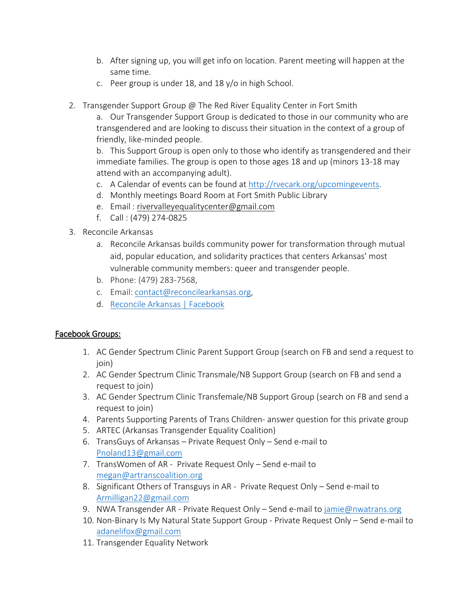- b. After signing up, you will get info on location. Parent meeting will happen at the same time.
- c. Peer group is under 18, and 18 y/o in high School.
- 2. Transgender Support Group @ The Red River Equality Center in Fort Smith

a. Our Transgender Support Group is dedicated to those in our community who are transgendered and are looking to discuss their situation in the context of a group of friendly, like-minded people.

b. This Support Group is open only to those who identify as transgendered and their immediate families. The group is open to those ages 18 and up (minors 13-18 may attend with an accompanying adult).

- c. A Calendar of events can be found at [http://rvecark.org/upcomingevents.](http://rvecark.org/upcomingevents)
- d. Monthly meetings Board Room at Fort Smith Public Library
- e. Email : [rivervalleyequalitycenter@gmail.com](mailto:rivervalleyequalitycenter@gmail.com)
- f. Call : (479) 274-0825
- 3. Reconcile Arkansas
	- a. Reconcile Arkansas builds community power for transformation through mutual aid, popular education, and solidarity practices that centers Arkansas' most vulnerable community members: queer and transgender people.
	- b. Phone: (479) 283-7568,
	- c. Email: [contact@reconcilearkansas.org,](mailto:contact@reconcilearkansas.org)
	- d. [Reconcile Arkansas | Facebook](https://www.facebook.com/reconcilearkansas/)

### Facebook Groups:

- 1. AC Gender Spectrum Clinic Parent Support Group (search on FB and send a request to ioin)
- 2. AC Gender Spectrum Clinic Transmale/NB Support Group (search on FB and send a request to join)
- 3. AC Gender Spectrum Clinic Transfemale/NB Support Group (search on FB and send a request to join)
- 4. Parents Supporting Parents of Trans Children- answer question for this private group
- 5. ARTEC (Arkansas Transgender Equality Coalition)
- 6. TransGuys of Arkansas Private Request Only Send e-mail to [Pnoland13@gmail.com](mailto:Pnoland13@gmail.com)
- 7. TransWomen of AR Private Request Only Send e-mail to [megan@artranscoalition.org](mailto:megan@artranscoalition.org)
- 8. Significant Others of Transguys in AR Private Request Only Send e-mail to [Armilligan22@gmail.com](mailto:Armilligan22@gmail.com)
- 9. NWA Transgender AR Private Request Only Send e-mail to [jamie@nwatrans.org](mailto:jamie@nwatrans.org)
- 10. Non-Binary Is My Natural State Support Group Private Request Only Send e-mail to [adanelifox@gmail.com](mailto:adanelifox@gmail.com)
- 11. Transgender Equality Network